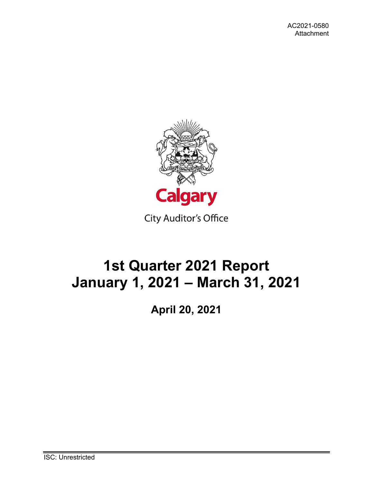

**City Auditor's Office** 

## **1st Quarter 2021 Report January 1, 2021 – March 31, 2021**

**April 20, 2021**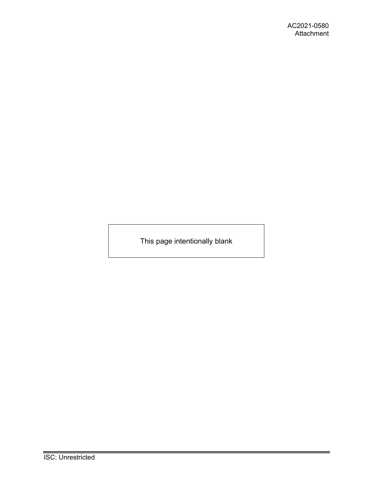This page intentionally blank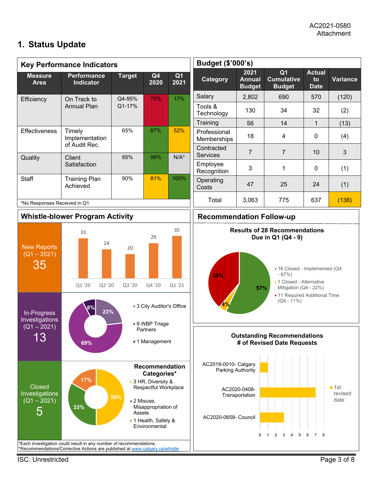## **1. Status Update**

| <b>Key Performance Indicators</b>                                          |                                                                                                                                                                                                                                                                                                                                                 |               |                                                                  |                                                                                                                                                                                                                              | Budget (\$'000's)                   |                                        |                                                      |                                       |                 |
|----------------------------------------------------------------------------|-------------------------------------------------------------------------------------------------------------------------------------------------------------------------------------------------------------------------------------------------------------------------------------------------------------------------------------------------|---------------|------------------------------------------------------------------|------------------------------------------------------------------------------------------------------------------------------------------------------------------------------------------------------------------------------|-------------------------------------|----------------------------------------|------------------------------------------------------|---------------------------------------|-----------------|
| <b>Measure</b><br><b>Area</b>                                              | <b>Performance</b><br><b>Indicator</b>                                                                                                                                                                                                                                                                                                          | <b>Target</b> | Q <sub>4</sub><br>2020                                           | Q <sub>1</sub><br>2021                                                                                                                                                                                                       | Category                            | 2021<br><b>Annual</b><br><b>Budget</b> | Q <sub>1</sub><br><b>Cumulative</b><br><b>Budget</b> | <b>Actual</b><br>to<br><b>Date</b>    | <b>Variance</b> |
| Efficiency                                                                 | On Track to                                                                                                                                                                                                                                                                                                                                     | Q4-95%        | 75%                                                              | 17%                                                                                                                                                                                                                          | Salary                              | 2,802                                  | 690                                                  | 570                                   | (120)           |
|                                                                            | <b>Annual Plan</b>                                                                                                                                                                                                                                                                                                                              | Q1-17%        |                                                                  |                                                                                                                                                                                                                              | Tools &<br>Technology               | 130                                    | 34                                                   | 32                                    | (2)             |
|                                                                            |                                                                                                                                                                                                                                                                                                                                                 |               |                                                                  |                                                                                                                                                                                                                              | Training                            | 56                                     | 14                                                   | $\mathbf{1}$                          | (13)            |
| Effectiveness                                                              | Timely<br>Implementation<br>of Audit Rec.                                                                                                                                                                                                                                                                                                       | 65%           | 67%                                                              | 52%                                                                                                                                                                                                                          | Professional<br>Memberships         | 18                                     | 4                                                    | $\mathbf 0$                           | (4)             |
| Quality                                                                    | <b>Client</b>                                                                                                                                                                                                                                                                                                                                   | 85%           | 98%                                                              | $N/A^*$                                                                                                                                                                                                                      | Contracted<br>Services              | $\overline{7}$                         | $\overline{7}$                                       | 10                                    | 3               |
|                                                                            | Satisfaction                                                                                                                                                                                                                                                                                                                                    |               |                                                                  |                                                                                                                                                                                                                              | Employee<br>Recognition             | 3                                      | 1                                                    | 0                                     | (1)             |
| Staff                                                                      | <b>Training Plan</b><br>Achieved                                                                                                                                                                                                                                                                                                                | 90%           | 81%                                                              | 100%                                                                                                                                                                                                                         | Operating<br>Costs                  | 47                                     | 25                                                   | 24                                    | (1)             |
| *No Responses Received in Q1                                               |                                                                                                                                                                                                                                                                                                                                                 |               |                                                                  |                                                                                                                                                                                                                              | Total                               | 3,063                                  | 775                                                  | 637                                   | (138)           |
|                                                                            | <b>Whistle-blower Program Activity</b>                                                                                                                                                                                                                                                                                                          |               |                                                                  |                                                                                                                                                                                                                              | <b>Recommendation Follow-up</b>     |                                        |                                                      |                                       |                 |
| <b>New Reports</b><br>$(Q1 - 2021)$<br>35<br>In-Progress<br>Investigations | 35<br>33<br>29<br>24<br>20<br>Q2 '20<br>Q1 '20<br>Q3 '20<br>Q4 '20<br>Q1'21<br>■ 3 City Auditor's Office<br>8%<br>23%<br>• 9 WBP Triage                                                                                                                                                                                                         |               |                                                                  | <b>Results of 28 Recommendations</b><br>Due in Q1 (Q4 - 9)<br>• 16 Closed - Implemented (Q4<br>$-67%$ )<br>39%<br>• 1 Closed - Alternative<br>57%<br>Mitigation (Q4 - 22%)<br>• 11 Required Additional Time<br>$(Q4 - 11\%)$ |                                     |                                        |                                                      |                                       |                 |
| 13                                                                         | $(Q1 - 2021)$<br>Partners<br>• 1 Management<br>69%                                                                                                                                                                                                                                                                                              |               | <b>Outstanding Recommendations</b><br># of Revised Date Requests |                                                                                                                                                                                                                              |                                     |                                        |                                                      |                                       |                 |
| <b>Closed</b><br>Investigations<br>$\sqrt{(Q1 - 2021)}$<br>5               | Recommendation<br>Categories*<br>17%<br>■ 3 HR, Diversity &<br>Respectful Workplace<br>50%<br>• 2 Misuse,<br>33%<br>Misappropriation of<br>Assets<br>■ 1 Health, Safety &<br>Environmental<br>'Each investigation could result in any number of recommendations.<br>*Recommendations/Corrective Actions are published at www.calgary.ca/whistle |               |                                                                  | AC2019-0010- Calgary<br>Parking Authority<br>AC2020-0658- Council                                                                                                                                                            | AC2020-0408-<br>Transportation<br>0 | $\overline{2}$<br>3<br>5<br>4<br>1     | 6<br>7 8                                             | $\blacksquare$ 1st<br>revised<br>date |                 |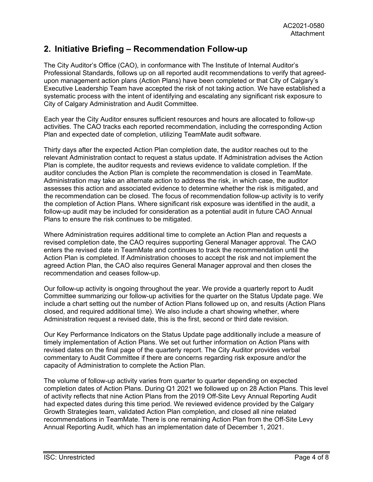## **2. Initiative Briefing – Recommendation Follow-up**

The City Auditor's Office (CAO), in conformance with The Institute of Internal Auditor's Professional Standards, follows up on all reported audit recommendations to verify that agreedupon management action plans (Action Plans) have been completed or that City of Calgary's Executive Leadership Team have accepted the risk of not taking action. We have established a systematic process with the intent of identifying and escalating any significant risk exposure to City of Calgary Administration and Audit Committee.

Each year the City Auditor ensures sufficient resources and hours are allocated to follow-up activities. The CAO tracks each reported recommendation, including the corresponding Action Plan and expected date of completion, utilizing TeamMate audit software.

Thirty days after the expected Action Plan completion date, the auditor reaches out to the relevant Administration contact to request a status update. If Administration advises the Action Plan is complete, the auditor requests and reviews evidence to validate completion. If the auditor concludes the Action Plan is complete the recommendation is closed in TeamMate. Administration may take an alternate action to address the risk, in which case, the auditor assesses this action and associated evidence to determine whether the risk is mitigated, and the recommendation can be closed. The focus of recommendation follow-up activity is to verify the completion of Action Plans. Where significant risk exposure was identified in the audit, a follow-up audit may be included for consideration as a potential audit in future CAO Annual Plans to ensure the risk continues to be mitigated.

Where Administration requires additional time to complete an Action Plan and requests a revised completion date, the CAO requires supporting General Manager approval. The CAO enters the revised date in TeamMate and continues to track the recommendation until the Action Plan is completed. If Administration chooses to accept the risk and not implement the agreed Action Plan, the CAO also requires General Manager approval and then closes the recommendation and ceases follow-up.

Our follow-up activity is ongoing throughout the year. We provide a quarterly report to Audit Committee summarizing our follow-up activities for the quarter on the Status Update page. We include a chart setting out the number of Action Plans followed up on, and results (Action Plans closed, and required additional time). We also include a chart showing whether, where Administration request a revised date, this is the first, second or third date revision.

Our Key Performance Indicators on the Status Update page additionally include a measure of timely implementation of Action Plans. We set out further information on Action Plans with revised dates on the final page of the quarterly report. The City Auditor provides verbal commentary to Audit Committee if there are concerns regarding risk exposure and/or the capacity of Administration to complete the Action Plan.

The volume of follow-up activity varies from quarter to quarter depending on expected completion dates of Action Plans. During Q1 2021 we followed up on 28 Action Plans. This level of activity reflects that nine Action Plans from the 2019 Off-Site Levy Annual Reporting Audit had expected dates during this time period. We reviewed evidence provided by the Calgary Growth Strategies team, validated Action Plan completion, and closed all nine related recommendations in TeamMate. There is one remaining Action Plan from the Off-Site Levy Annual Reporting Audit, which has an implementation date of December 1, 2021.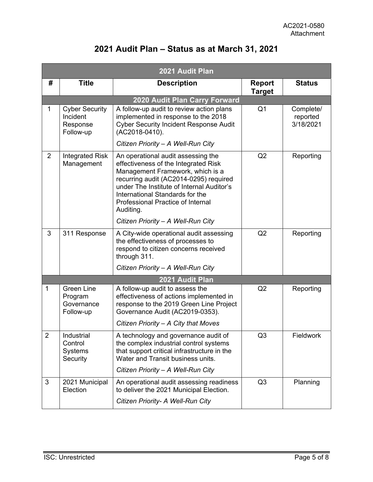| 2021 Audit Plan – Status as at March 31, 2021 |  |
|-----------------------------------------------|--|
|-----------------------------------------------|--|

|                | 2021 Audit Plan                                            |                                                                                                                                                                                                                                                                                            |                                |                                    |  |  |
|----------------|------------------------------------------------------------|--------------------------------------------------------------------------------------------------------------------------------------------------------------------------------------------------------------------------------------------------------------------------------------------|--------------------------------|------------------------------------|--|--|
| #              | <b>Title</b>                                               | <b>Description</b>                                                                                                                                                                                                                                                                         | <b>Report</b><br><b>Target</b> | <b>Status</b>                      |  |  |
|                |                                                            | 2020 Audit Plan Carry Forward                                                                                                                                                                                                                                                              |                                |                                    |  |  |
| 1              | <b>Cyber Security</b><br>Incident<br>Response<br>Follow-up | A follow-up audit to review action plans<br>implemented in response to the 2018<br><b>Cyber Security Incident Response Audit</b><br>(AC2018-0410).                                                                                                                                         | Q <sub>1</sub>                 | Complete/<br>reported<br>3/18/2021 |  |  |
|                |                                                            | Citizen Priority - A Well-Run City                                                                                                                                                                                                                                                         |                                |                                    |  |  |
| $\overline{2}$ | <b>Integrated Risk</b><br>Management                       | An operational audit assessing the<br>effectiveness of the Integrated Risk<br>Management Framework, which is a<br>recurring audit (AC2014-0295) required<br>under The Institute of Internal Auditor's<br>International Standards for the<br>Professional Practice of Internal<br>Auditing. | Q2                             | Reporting                          |  |  |
|                |                                                            | Citizen Priority - A Well-Run City                                                                                                                                                                                                                                                         |                                |                                    |  |  |
| 3              | 311 Response                                               | A City-wide operational audit assessing<br>the effectiveness of processes to<br>respond to citizen concerns received<br>through 311.                                                                                                                                                       | Q2                             | Reporting                          |  |  |
|                |                                                            | Citizen Priority - A Well-Run City                                                                                                                                                                                                                                                         |                                |                                    |  |  |
|                | 2021 Audit Plan                                            |                                                                                                                                                                                                                                                                                            |                                |                                    |  |  |
| 1              | <b>Green Line</b><br>Program<br>Governance<br>Follow-up    | A follow-up audit to assess the<br>effectiveness of actions implemented in<br>response to the 2019 Green Line Project<br>Governance Audit (AC2019-0353).<br>Citizen Priority - A City that Moves                                                                                           | Q2                             | Reporting                          |  |  |
|                |                                                            |                                                                                                                                                                                                                                                                                            |                                |                                    |  |  |
| $\overline{2}$ | Industrial<br>Control<br>Systems<br>Security               | A technology and governance audit of<br>the complex industrial control systems<br>that support critical infrastructure in the<br>Water and Transit business units.<br>Citizen Priority - A Well-Run City                                                                                   | Q <sub>3</sub>                 | Fieldwork                          |  |  |
| 3              | 2021 Municipal<br>Election                                 | An operational audit assessing readiness<br>to deliver the 2021 Municipal Election.<br>Citizen Priority- A Well-Run City                                                                                                                                                                   | Q3                             | Planning                           |  |  |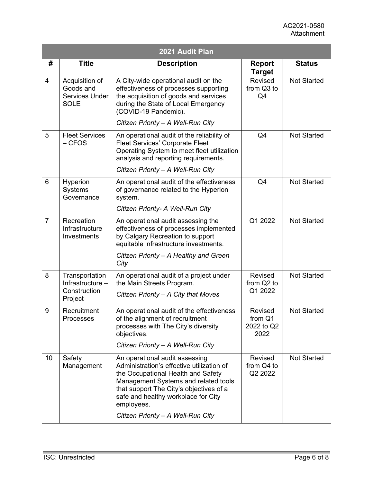|                | 2021 Audit Plan                                                     |                                                                                                                                                                                                                                                                                                 |                                          |                    |  |  |  |
|----------------|---------------------------------------------------------------------|-------------------------------------------------------------------------------------------------------------------------------------------------------------------------------------------------------------------------------------------------------------------------------------------------|------------------------------------------|--------------------|--|--|--|
| #              | <b>Title</b>                                                        | <b>Description</b>                                                                                                                                                                                                                                                                              | <b>Report</b><br><b>Target</b>           | <b>Status</b>      |  |  |  |
| 4              | Acquisition of<br>Goods and<br><b>Services Under</b><br><b>SOLE</b> | A City-wide operational audit on the<br>effectiveness of processes supporting<br>the acquisition of goods and services<br>during the State of Local Emergency<br>(COVID-19 Pandemic).<br>Citizen Priority - A Well-Run City                                                                     | Revised<br>from Q3 to<br>Q4              | <b>Not Started</b> |  |  |  |
| 5              | <b>Fleet Services</b><br>$-CFOS$                                    | An operational audit of the reliability of<br><b>Fleet Services' Corporate Fleet</b><br>Operating System to meet fleet utilization<br>analysis and reporting requirements.<br>Citizen Priority - A Well-Run City                                                                                | Q4                                       | <b>Not Started</b> |  |  |  |
| 6              | Hyperion<br>Systems<br>Governance                                   | An operational audit of the effectiveness<br>of governance related to the Hyperion<br>system.<br>Citizen Priority- A Well-Run City                                                                                                                                                              | Q4                                       | <b>Not Started</b> |  |  |  |
| $\overline{7}$ | Recreation<br>Infrastructure<br>Investments                         | An operational audit assessing the<br>effectiveness of processes implemented<br>by Calgary Recreation to support<br>equitable infrastructure investments.<br>Citizen Priority - A Healthy and Green<br>City                                                                                     | Q1 2022                                  | <b>Not Started</b> |  |  |  |
| 8              | Transportation<br>Infrastructure -<br>Construction<br>Project       | An operational audit of a project under<br>the Main Streets Program.<br>Citizen Priority - A City that Moves                                                                                                                                                                                    | Revised<br>from Q2 to<br>Q1 2022         | <b>Not Started</b> |  |  |  |
| 9              | Recruitment<br>Processes                                            | An operational audit of the effectiveness<br>of the alignment of recruitment<br>processes with The City's diversity<br>objectives.<br>Citizen Priority - A Well-Run City                                                                                                                        | Revised<br>from Q1<br>2022 to Q2<br>2022 | <b>Not Started</b> |  |  |  |
| 10             | Safety<br>Management                                                | An operational audit assessing<br>Administration's effective utilization of<br>the Occupational Health and Safety<br>Management Systems and related tools<br>that support The City's objectives of a<br>safe and healthy workplace for City<br>employees.<br>Citizen Priority - A Well-Run City | Revised<br>from Q4 to<br>Q2 2022         | <b>Not Started</b> |  |  |  |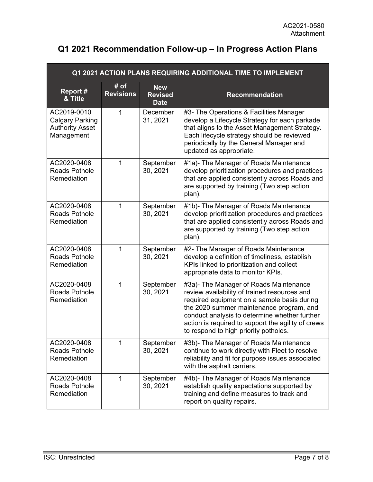## **Q1 2021 Recommendation Follow-up – In Progress Action Plans**

| Q1 2021 ACTION PLANS REQUIRING ADDITIONAL TIME TO IMPLEMENT                   |                          |                                             |                                                                                                                                                                                                                                                                                                                                   |  |  |
|-------------------------------------------------------------------------------|--------------------------|---------------------------------------------|-----------------------------------------------------------------------------------------------------------------------------------------------------------------------------------------------------------------------------------------------------------------------------------------------------------------------------------|--|--|
| Report#<br>& Title                                                            | # of<br><b>Revisions</b> | <b>New</b><br><b>Revised</b><br><b>Date</b> | <b>Recommendation</b>                                                                                                                                                                                                                                                                                                             |  |  |
| AC2019-0010<br><b>Calgary Parking</b><br><b>Authority Asset</b><br>Management | 1                        | December<br>31, 2021                        | #3- The Operations & Facilities Manager<br>develop a Lifecycle Strategy for each parkade<br>that aligns to the Asset Management Strategy.<br>Each lifecycle strategy should be reviewed<br>periodically by the General Manager and<br>updated as appropriate.                                                                     |  |  |
| AC2020-0408<br>Roads Pothole<br>Remediation                                   | 1                        | September<br>30, 2021                       | #1a)- The Manager of Roads Maintenance<br>develop prioritization procedures and practices<br>that are applied consistently across Roads and<br>are supported by training (Two step action<br>plan).                                                                                                                               |  |  |
| AC2020-0408<br>Roads Pothole<br>Remediation                                   | 1                        | September<br>30, 2021                       | #1b)- The Manager of Roads Maintenance<br>develop prioritization procedures and practices<br>that are applied consistently across Roads and<br>are supported by training (Two step action<br>plan).                                                                                                                               |  |  |
| AC2020-0408<br>Roads Pothole<br>Remediation                                   | 1                        | September<br>30, 2021                       | #2- The Manager of Roads Maintenance<br>develop a definition of timeliness, establish<br>KPIs linked to prioritization and collect<br>appropriate data to monitor KPIs.                                                                                                                                                           |  |  |
| AC2020-0408<br><b>Roads Pothole</b><br>Remediation                            | 1                        | September<br>30, 2021                       | #3a)- The Manager of Roads Maintenance<br>review availability of trained resources and<br>required equipment on a sample basis during<br>the 2020 summer maintenance program, and<br>conduct analysis to determine whether further<br>action is required to support the agility of crews<br>to respond to high priority potholes. |  |  |
| AC2020-0408<br>Roads Pothole<br>Remediation                                   | 1                        | September<br>30, 2021                       | #3b)- The Manager of Roads Maintenance<br>continue to work directly with Fleet to resolve<br>reliability and fit for purpose issues associated<br>with the asphalt carriers.                                                                                                                                                      |  |  |
| AC2020-0408<br>Roads Pothole<br>Remediation                                   | $\mathbf{1}$             | September<br>30, 2021                       | #4b)- The Manager of Roads Maintenance<br>establish quality expectations supported by<br>training and define measures to track and<br>report on quality repairs.                                                                                                                                                                  |  |  |